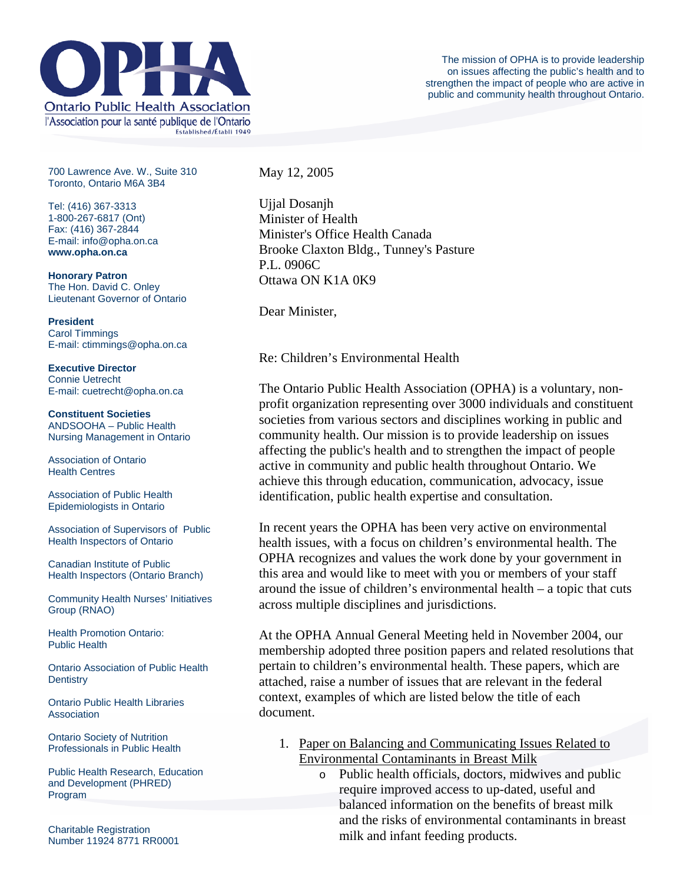

700 Lawrence Ave. W., Suite 310 Toronto, Ontario M6A 3B4

Tel: (416) 367-3313 1-800-267-6817 (Ont) Fax: (416) 367-2844 E-mail: info@opha.on.ca **www.opha.on.ca** 

**Honorary Patron**  The Hon. David C. Onley Lieutenant Governor of Ontario

**President**  Carol Timmings E-mail: ctimmings@opha.on.ca

**Executive Director**  Connie Uetrecht E-mail: cuetrecht@opha.on.ca

**Constituent Societies**  ANDSOOHA – Public Health Nursing Management in Ontario

Association of Ontario Health Centres

Association of Public Health Epidemiologists in Ontario

Association of Supervisors of Public Health Inspectors of Ontario

Canadian Institute of Public Health Inspectors (Ontario Branch)

Community Health Nurses' Initiatives Group (RNAO)

Health Promotion Ontario: Public Health

Ontario Association of Public Health **Dentistry** 

Ontario Public Health Libraries **Association** 

Ontario Society of Nutrition Professionals in Public Health

Public Health Research, Education and Development (PHRED) Program

Charitable Registration Number 11924 8771 RR0001 May 12, 2005

Ujjal Dosanjh Minister of Health Minister's Office Health Canada Brooke Claxton Bldg., Tunney's Pasture P.L. 0906C Ottawa ON K1A 0K9

Dear Minister,

Re: Children's Environmental Health

The Ontario Public Health Association (OPHA) is a voluntary, nonprofit organization representing over 3000 individuals and constituent societies from various sectors and disciplines working in public and community health. Our mission is to provide leadership on issues affecting the public's health and to strengthen the impact of people active in community and public health throughout Ontario. We achieve this through education, communication, advocacy, issue identification, public health expertise and consultation.

In recent years the OPHA has been very active on environmental health issues, with a focus on children's environmental health. The OPHA recognizes and values the work done by your government in this area and would like to meet with you or members of your staff around the issue of children's environmental health – a topic that cuts across multiple disciplines and jurisdictions.

At the OPHA Annual General Meeting held in November 2004, our membership adopted three position papers and related resolutions that pertain to children's environmental health. These papers, which are attached, raise a number of issues that are relevant in the federal context, examples of which are listed below the title of each document.

- 1. Paper on Balancing and Communicating Issues Related to Environmental Contaminants in Breast Milk
	- o Public health officials, doctors, midwives and public require improved access to up-dated, useful and balanced information on the benefits of breast milk and the risks of environmental contaminants in breast milk and infant feeding products.